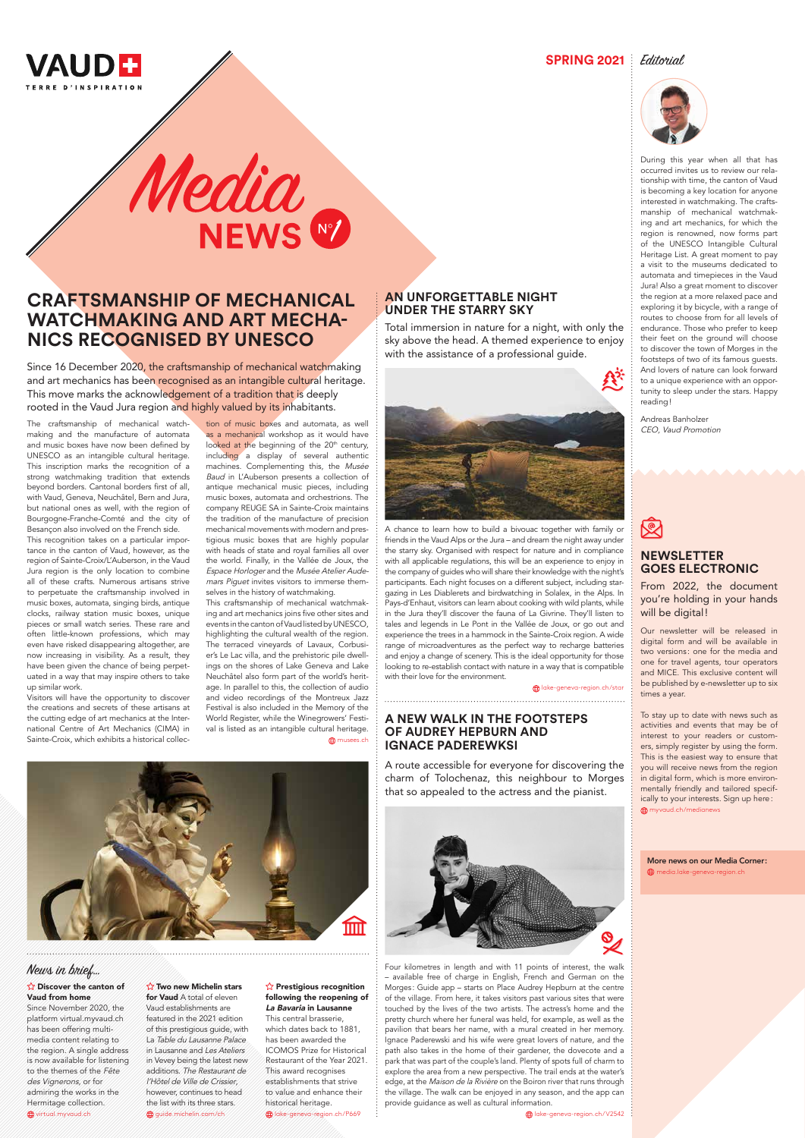

**SPRING 2021** Editorial



# **AN UNFORGETTABLE NIGHT UNDER THE STARRY SKY**

Total immersion in nature for a night, with only the sky above the head. A themed experience to enjoy with the assistance of a professional guide.



From 2022, the document you're holding in your hands will be digital!

A chance to learn how to build a bivouac together with family or friends in the Vaud Alps or the Jura – and dream the night away under the starry sky. Organised with respect for nature and in compliance with all applicable regulations, this will be an experience to enjoy in the company of guides who will share their knowledge with the night's participants. Each night focuses on a different subject, including stargazing in Les Diablerets and birdwatching in Solalex, in the Alps. In Pays-d'Enhaut, visitors can learn about cooking with wild plants, while in the Jura they'll discover the fauna of La Givrine. They'll listen to tales and legends in Le Pont in the Vallée de Joux, or go out and experience the trees in a hammock in the Sainte-Croix region. A wide range of microadventures as the perfect way to recharge batteries and enjoy a change of scenery. This is the ideal opportunity for those looking to re-establish contact with nature in a way that is compatible with their love for the environment.

lake-geneva-region.ch/star

# **NEWSLETTER GOES ELECTRONIC**

Our newsletter will be released in digital form and will be available in two versions: one for the media and one for travel agents, tour operators and MICE. This exclusive content will be published by e-newsletter up to six times a year.

To stay up to date with news such as activities and events that may be of interest to your readers or customers, simply register by using the form. This is the easiest way to ensure that you will receive news from the region in digital form, which is more environmentally friendly and tailored specifically to your interests. Sign up here: myvaud.ch/medianews



#### $\hat{V}$  Discover the canton of Vaud from home

Since November 2020, the platform virtual.myvaud.ch has been offering multimedia content relating to the region. A single address is now available for listening to the themes of the Fête des Vignerons, or for admiring the works in the Hermitage collection. wirtual.myvaud.ch

#### $\hat{X}$  Two new Michelin stars for Vaud A total of eleven Vaud establishments are featured in the 2021 edition of this prestigious guide, with La Table du Lausanne Palace in Lausanne and Les Ateliers in Vevey being the latest new additions. The Restaurant de l'Hôtel de Ville de Crissier, however, continues to head the list with its three stars.

During this year when all that has occurred invites us to review our relationship with time, the canton of Vaud is becoming a key location for anyone interested in watchmaking. The craftsmanship of mechanical watchmaking and art mechanics, for which the region is renowned, now forms part of the UNESCO Intangible Cultural Heritage List. A great moment to pay a visit to the museums dedicated to automata and timepieces in the Vaud Jura! Also a great moment to discover the region at a more relaxed pace and exploring it by bicycle, with a range of routes to choose from for all levels of endurance. Those who prefer to keep their feet on the ground will choose to discover the town of Morges in the footsteps of two of its famous guests. And lovers of nature can look forward to a unique experience with an opportunity to sleep under the stars. Happy reading!

 $\sqrt{2}$  Prestigious recognition following the reopening of La Bavaria in Lausanne This central brasserie, which dates back to 1881, has been awarded the ICOMOS Prize for Historical Restaurant of the Year 2021. This award recognises establishments that strive to value and enhance their historical heritage.

Andreas Banholzer CEO, Vaud Promotion

# Media NEWS<sup>N</sup>

## **A NEW WALK IN THE FOOTSTEPS OF AUDREY HEPBURN AND IGNACE PADEREWKSI**

A route accessible for everyone for discovering the charm of Tolochenaz, this neighbour to Morges that so appealed to the actress and the pianist.



# 図

Four kilometres in length and with 11 points of interest, the walk – available free of charge in English, French and German on the Morges: Guide app - starts on Place Audrey Hepburn at the centre of the village. From here, it takes visitors past various sites that were touched by the lives of the two artists. The actress's home and the pretty church where her funeral was held, for example, as well as the pavilion that bears her name, with a mural created in her memory. Ignace Paderewski and his wife were great lovers of nature, and the path also takes in the home of their gardener, the dovecote and a park that was part of the couple's land. Plenty of spots full of charm to explore the area from a new perspective. The trail ends at the water's edge, at the Maison de la Rivière on the Boiron river that runs through the village. The walk can be enjoyed in any season, and the app can provide guidance as well as cultural information.

lake-geneva-region.ch/V2542

guide.michelin.com/ch

lake-geneva-region.ch/P669

# News in brief…

# **CRAFTSMANSHIP OF MECHANICAL WATCHMAKING AND ART MECHA-NICS RECOGNISED BY UNESCO**

Since 16 December 2020, the craftsmanship of mechanical watchmaking and art mechanics has been recognised as an intangible cultural heritage. This move marks the acknowledgement of a tradition that is deeply rooted in the Vaud Jura region and highly valued by its inhabitants.

The craftsmanship of mechanical watchmaking and the manufacture of automata and music boxes have now been defined by UNESCO as an intangible cultural heritage. This inscription marks the recognition of a strong watchmaking tradition that extends beyond borders. Cantonal borders first of all, with Vaud, Geneva, Neuchâtel, Bern and Jura, but national ones as well, with the region of Bourgogne-Franche-Comté and the city of Besançon also involved on the French side.

This recognition takes on a particular importance in the canton of Vaud, however, as the region of Sainte-Croix/L'Auberson, in the Vaud Jura region is the only location to combine all of these crafts. Numerous artisans strive to perpetuate the craftsmanship involved in music boxes, automata, singing birds, antique clocks, railway station music boxes, unique pieces or small watch series. These rare and often little-known professions, which may even have risked disappearing altogether, are now increasing in visibility. As a result, they have been given the chance of being perpetuated in a way that may inspire others to take up similar work.

Visitors will have the opportunity to discover the creations and secrets of these artisans at the cutting edge of art mechanics at the International Centre of Art Mechanics (CIMA) in Sainte-Croix, which exhibits a historical collec-

tion of music boxes and automata, as well as a mechanical workshop as it would have looked at the beginning of the 20<sup>th</sup> century, including a display of several authentic machines. Complementing this, the Musée Baud in L'Auberson presents a collection of antique mechanical music pieces, including music boxes, automata and orchestrions. The company REUGE SA in Sainte-Croix maintains the tradition of the manufacture of precision mechanical movements with modern and prestigious music boxes that are highly popular with heads of state and royal families all over the world. Finally, in the Vallée de Joux, the Espace Horloger and the Musée Atelier Audemars Piguet invites visitors to immerse themselves in the history of watchmaking.

This craftsmanship of mechanical watchmaking and art mechanics joins five other sites and events in the canton of Vaud listed by UNESCO, highlighting the cultural wealth of the region. The terraced vineyards of Lavaux, Corbusier's Le Lac villa, and the prehistoric pile dwellings on the shores of Lake Geneva and Lake Neuchâtel also form part of the world's heritage. In parallel to this, the collection of audio and video recordings of the Montreux Jazz Festival is also included in the Memory of the World Register, while the Winegrowers' Festival is listed as an intangible cultural heritage.

#### **D** musees.ch

More news on our Media Corner: media.lake-geneva-region.ch